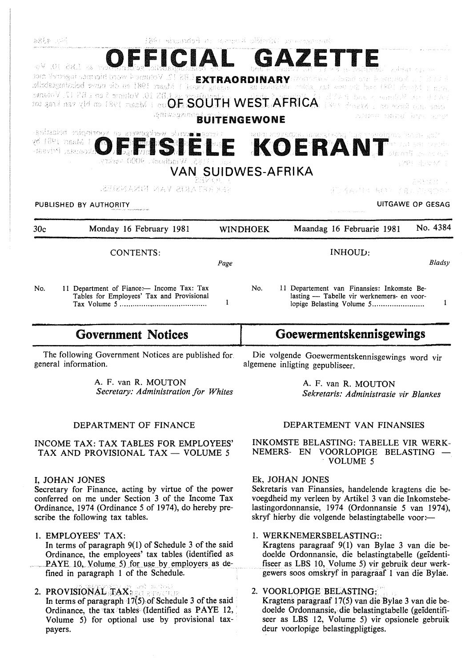.<br>- 1 XA : Telescopyda은 Telescopy person di Telescopy (There I telescope

|                                                                                                                                                                                                                                | - 11월 12일: 12월 12일: 12월 12일: 12월 12월 12월 12월 12월 12월 12월 12월 |                                                                                                                                                                                                                                               | 12 PAS PAGINA - CALIFAN CALIFANDIN CALIF                                                                                                                                                                                                                            |                       |
|--------------------------------------------------------------------------------------------------------------------------------------------------------------------------------------------------------------------------------|--------------------------------------------------------------|-----------------------------------------------------------------------------------------------------------------------------------------------------------------------------------------------------------------------------------------------|---------------------------------------------------------------------------------------------------------------------------------------------------------------------------------------------------------------------------------------------------------------------|-----------------------|
| 心暴 通年 逃難 医反应<br>A spinned in the harding pathway of $\mathbf{R}\mathbf{N}$ ( $\mathbf{R}\mathbf{N}$ ) $\mathbf{N}$ and $\mathbf{N}$ and $\mathbf{N}$ and $\mathbf{N}$ and $\mathbf{N}$                                         |                                                              |                                                                                                                                                                                                                                               | OFFICIAL GAZETTE<br>ト等 BB-DB-201777512 - 2.4 Mail 2.15 New                                                                                                                                                                                                          |                       |
| principal peach in Maart 1981 en die nuwe beheingtabelik.<br>. Republicance 182 16. Volume 3 on 183 17. Volume<br>for any the set of the set of the SOUTH WEST AFRICA. The start of the set of the set of the<br>,受賞经公放推理科     | <b>BUITENGEWONE</b>                                          |                                                                                                                                                                                                                                               | as belikiele reda, vot zen err bed die desekt i niva<br>$\frac{1}{2}$ of $\mathcal{M}(\mathbb{R})$ , $\mathcal{M}(\mathbb{R})$ , $\mathcal{M}(\mathbb{R})$ , $\mathcal{M}(\mathbb{R})$ , $\mathcal{M}(\mathbb{R})$ , $\mathcal{M}(\mathbb{R})$<br>wane shid by: wre |                       |
| ເຕີໂຮຣໂຣຕ໌ ຫລືເປັນ ແລະໂຊຣ໌ ແລະ ແຕ່ VOrfopico beissting<br>vd 1891 nast√ i 1<br>-meri <sup>ng</sup> se <i>na</i> p<br>Nuhev OOOR AustbalW 2811 Las                                                                              | VAN SUIDWES-AFRIKA                                           |                                                                                                                                                                                                                                               | FISIELE KOERANT                                                                                                                                                                                                                                                     | 主编自定点 经经定             |
| GERMARI MAV SENTERET                                                                                                                                                                                                           |                                                              |                                                                                                                                                                                                                                               | 重型消入器用 网络学 的复数的复数形式                                                                                                                                                                                                                                                 | 突然的 经经济               |
| PUBLISHED BY AUTHORITY                                                                                                                                                                                                         |                                                              |                                                                                                                                                                                                                                               |                                                                                                                                                                                                                                                                     | UITGAWE OP GESAG      |
| Monday 16 February 1981<br>30 <sub>c</sub>                                                                                                                                                                                     |                                                              | <b>WINDHOEK</b>                                                                                                                                                                                                                               | Maandag 16 Februarie 1981                                                                                                                                                                                                                                           | No. 4384              |
| <b>CONTENTS:</b>                                                                                                                                                                                                               | Page                                                         |                                                                                                                                                                                                                                               | <b>INHOUD:</b>                                                                                                                                                                                                                                                      | $B$ <i>lads</i> $\nu$ |
| No.<br>11 Department of Fiance:- Income Tax: Tax<br>Tables for Employees' Tax and Provisional                                                                                                                                  | 1                                                            | No.                                                                                                                                                                                                                                           | 11 Departement van Finansies: Inkomste Be-<br>lasting - Tabelle vir werknemers- en voor-<br>lopige Belasting Volume 5                                                                                                                                               | 1                     |
| <b>Government Notices</b>                                                                                                                                                                                                      |                                                              | Goewermentskennisgewings                                                                                                                                                                                                                      |                                                                                                                                                                                                                                                                     |                       |
| The following Government Notices are published for:<br>general information.                                                                                                                                                    |                                                              | Die volgende Goewermentskennisgewings word vir<br>algemene inligting gepubliseer.                                                                                                                                                             |                                                                                                                                                                                                                                                                     |                       |
| A. F. van R. MOUTON<br>Secretary: Administration for Whites                                                                                                                                                                    |                                                              | A. F. van R. MOUTON<br>Sekretaris: Administrasie vir Blankes                                                                                                                                                                                  |                                                                                                                                                                                                                                                                     |                       |
| DEPARTMENT OF FINANCE                                                                                                                                                                                                          |                                                              | DEPARTEMENT VAN FINANSIES                                                                                                                                                                                                                     |                                                                                                                                                                                                                                                                     |                       |
| INCOME TAX: TAX TABLES FOR EMPLOYEES'<br>TAX AND PROVISIONAL TAX - VOLUME 5                                                                                                                                                    |                                                              | INKOMSTE BELASTING: TABELLE VIR WERK-<br>NEMERS- EN VOORLOPIGE BELASTING<br><b>VOLUME 5</b>                                                                                                                                                   |                                                                                                                                                                                                                                                                     |                       |
| I, JOHAN JONES<br>Secretary for Finance, acting by virtue of the power<br>conferred on me under Section 3 of the Income Tax<br>Ordinance, 1974 (Ordinance 5 of 1974), do hereby pre-<br>scribe the following tax tables.       |                                                              | Ek, JOHAN JONES<br>Sekretaris van Finansies, handelende kragtens die be-<br>voegdheid my verleen by Artikel 3 van die Inkomstebe-<br>lastingordonnansie, 1974 (Ordonnansie 5 van 1974),<br>skryf hierby die volgende belastingtabelle voor:   |                                                                                                                                                                                                                                                                     |                       |
| 1. EMPLOYEES' TAX:<br>In terms of paragraph $9(1)$ of Schedule 3 of the said<br>Ordinance, the employees' tax tables (identified as<br>PAYE 10, Volume 5) for use by employers as de-<br>fined in paragraph 1 of the Schedule. |                                                              | 1. WERKNEMERSBELASTING::<br>Kragtens paragraaf 9(1) van Bylae 3 van die be-<br>doelde Ordonnansie, die belastingtabelle (geïdenti-<br>fiseer as LBS 10, Volume 5) vir gebruik deur werk-<br>gewers soos omskryf in paragraaf 1 van die Bylae. |                                                                                                                                                                                                                                                                     |                       |
| 2. PROVISIONAL TAXE and subset<br>In terms of paragraph $17(5)$ of Schedule 3 of the said<br>Ordinance, the tax tables (Identified as PAYE 12,<br>Volume 5) for optional use by provisional tax-<br>payers.                    |                                                              | 2. VOORLOPIGE BELASTING:<br>Kragtens paragraaf 17(5) van die Bylae 3 van die be-<br>doelde Ordonnansie, die belastingtabelle (geïdentifi-<br>seer as LBS 12, Volume 5) vir opsionele gebruik<br>deur voorlopige belastingpligtiges.           |                                                                                                                                                                                                                                                                     |                       |